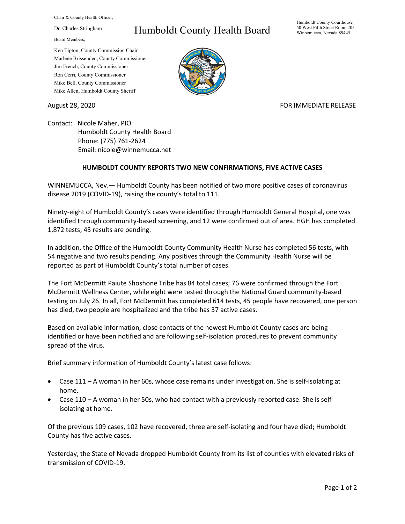Chair & County Health Officer,

Dr. Charles Stringham

Board Members,

## Humboldt County Health Board

Humboldt County Courthouse 50 West Fifth Street Room 205 Winnemucca, Nevada 89445

Ken Tipton, County Commission Chair Marlene Brissenden, County Commissioner Jim French, County Commissioner Ron Cerri, County Commissioner Mike Bell, County Commissioner Mike Allen, Humboldt County Sheriff

## August 28, 2020 **FOR IMMEDIATE RELEASE**

Contact: Nicole Maher, PIO Humboldt County Health Board Phone: (775) 761-2624 Email: nicole@winnemucca.net

## **HUMBOLDT COUNTY REPORTS TWO NEW CONFIRMATIONS, FIVE ACTIVE CASES**

WINNEMUCCA, Nev.— Humboldt County has been notified of two more positive cases of coronavirus disease 2019 (COVID-19), raising the county's total to 111.

Ninety-eight of Humboldt County's cases were identified through Humboldt General Hospital, one was identified through community-based screening, and 12 were confirmed out of area. HGH has completed 1,872 tests; 43 results are pending.

In addition, the Office of the Humboldt County Community Health Nurse has completed 56 tests, with 54 negative and two results pending. Any positives through the Community Health Nurse will be reported as part of Humboldt County's total number of cases.

The Fort McDermitt Paiute Shoshone Tribe has 84 total cases; 76 were confirmed through the Fort McDermitt Wellness Center, while eight were tested through the National Guard community-based testing on July 26. In all, Fort McDermitt has completed 614 tests, 45 people have recovered, one person has died, two people are hospitalized and the tribe has 37 active cases.

Based on available information, close contacts of the newest Humboldt County cases are being identified or have been notified and are following self-isolation procedures to prevent community spread of the virus.

Brief summary information of Humboldt County's latest case follows:

- Case 111 A woman in her 60s, whose case remains under investigation. She is self-isolating at home.
- Case 110 A woman in her 50s, who had contact with a previously reported case. She is selfisolating at home.

Of the previous 109 cases, 102 have recovered, three are self-isolating and four have died; Humboldt County has five active cases.

Yesterday, the State of Nevada dropped Humboldt County from its list of counties with elevated risks of transmission of COVID-19.